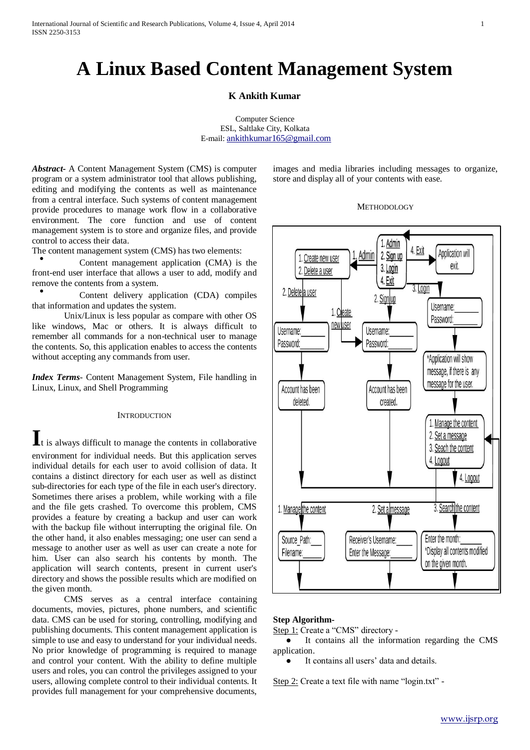# **A Linux Based Content Management System**

## **K Ankith Kumar**

Computer Science ESL, Saltlake City, Kolkata E-mail: [ankithkumar165@gmail.com](mailto:ankithkumar165@gmail.com)

*Abstract-* A Content Management System (CMS) is computer program or a system administrator tool that allows publishing, editing and modifying the contents as well as maintenance from a central interface. Such systems of content management provide procedures to manage work flow in a collaborative environment. The core function and use of content management system is to store and organize files, and provide control to access their data.

The content management system (CMS) has two elements:

● Content management application (CMA) is the front-end user interface that allows a user to add, modify and remove the contents from a system.

● Content delivery application (CDA) compiles that information and updates the system.

Unix/Linux is less popular as compare with other OS like windows, Mac or others. It is always difficult to remember all commands for a non-technical user to manage the contents. So, this application enables to access the contents without accepting any commands from user*.*

*Index Terms-* Content Management System, File handling in Linux, Linux, and Shell Programming

## **INTRODUCTION**

**I**t is always difficult to manage the contents in collaborative environment for individual needs. But this application serves individual details for each user to avoid collision of data. It contains a distinct directory for each user as well as distinct sub-directories for each type of the file in each user's directory. Sometimes there arises a problem, while working with a file and the file gets crashed. To overcome this problem, CMS provides a feature by creating a backup and user can work with the backup file without interrupting the original file. On the other hand, it also enables messaging; one user can send a message to another user as well as user can create a note for him. User can also search his contents by month. The application will search contents, present in current user's directory and shows the possible results which are modified on the given month.

CMS serves as a central interface containing documents, movies, pictures, phone numbers, and scientific data. CMS can be used for storing, controlling, modifying and publishing documents. This content management application is simple to use and easy to understand for your individual needs. No prior knowledge of programming is required to manage and control your content. With the ability to define multiple users and roles, you can control the privileges assigned to your users, allowing complete control to their individual contents. It provides full management for your comprehensive documents,

images and media libraries including messages to organize, store and display all of your contents with ease.

#### **METHODOLOGY**



## **Step Algorithm-**

Step 1: Create a "CMS" directory -

● It contains all the information regarding the CMS application.

It contains all users' data and details.

Step 2: Create a text file with name "login.txt" -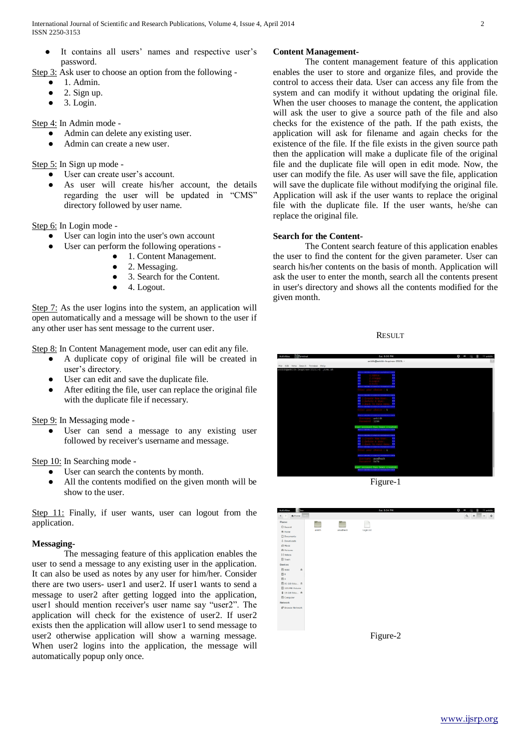- It contains all users' names and respective user's password.
- Step 3: Ask user to choose an option from the following
	- 1. Admin.
	- 2. Sign up.
	- $\bullet$  3. Login.

Step 4: In Admin mode -

- Admin can delete any existing user.
- Admin can create a new user.

Step 5: In Sign up mode -

- User can create user's account.
- As user will create his/her account, the details regarding the user will be updated in "CMS" directory followed by user name.

Step 6: In Login mode -

- User can login into the user's own account
- User can perform the following operations -
	- 1. Content Management.
	- 2. Messaging.
	- 3. Search for the Content.
	- 4. Logout.

Step 7: As the user logins into the system, an application will open automatically and a message will be shown to the user if any other user has sent message to the current user.

Step 8: In Content Management mode, user can edit any file.

- A duplicate copy of original file will be created in user's directory.
- User can edit and save the duplicate file.
- After editing the file, user can replace the original file with the duplicate file if necessary.

Step 9: In Messaging mode -

User can send a message to any existing user followed by receiver's username and message.

Step 10: In Searching mode -

- User can search the contents by month.
- All the contents modified on the given month will be show to the user.

Step 11: Finally, if user wants, user can logout from the application.

## **Messaging-**

The messaging feature of this application enables the user to send a message to any existing user in the application. It can also be used as notes by any user for him/her. Consider there are two users- user1 and user2. If user1 wants to send a message to user2 after getting logged into the application, user1 should mention receiver's user name say "user2". The application will check for the existence of user2. If user2 exists then the application will allow user1 to send message to user2 otherwise application will show a warning message. When user2 logins into the application, the message will automatically popup only once.

## **Content Management-**

The content management feature of this application enables the user to store and organize files, and provide the control to access their data. User can access any file from the system and can modify it without updating the original file. When the user chooses to manage the content, the application will ask the user to give a source path of the file and also checks for the existence of the path. If the path exists, the application will ask for filename and again checks for the existence of the file. If the file exists in the given source path then the application will make a duplicate file of the original file and the duplicate file will open in edit mode. Now, the user can modify the file. As user will save the file, application will save the duplicate file without modifying the original file. Application will ask if the user wants to replace the original file with the duplicate file. If the user wants, he/she can replace the original file.

## **Search for the Content-**

The Content search feature of this application enables the user to find the content for the given parameter. User can search his/her contents on the basis of month. Application will ask the user to enter the month, search all the contents present in user's directory and shows all the contents modified for the given month.

**RESULT** 





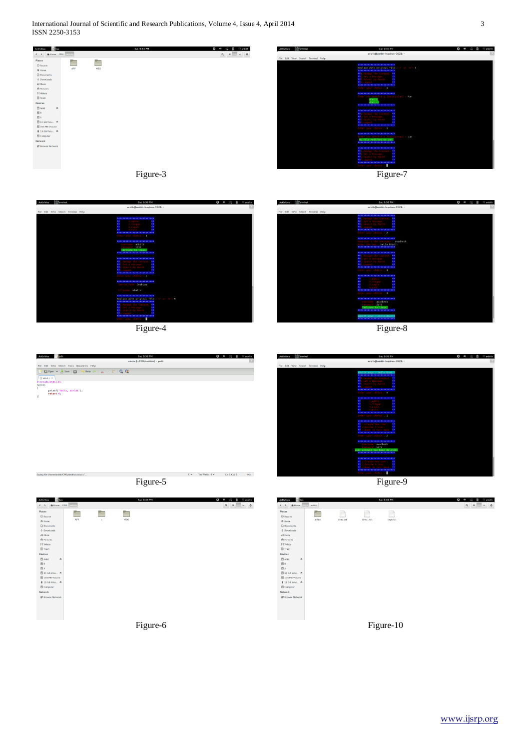International Journal of Scientific and Research Publications, Volume 4, Issue 4, April 2014 3 ISSN 2250-3153





Figure-7



Figure-4

at 9:36 P

ile Edit View Search Tools Documents Help<br><mark>-</mark> 프 Open v 프 Save | 급 | Syllado @ | 을 단 | 급 | Q Q

, World!");

 $\frac{1}{APP}$ 

E

 $\frac{1}{MSG}$ 

 $\frac{1}{\epsilon}$ 

 $\overline{1}$ 

Saving Re

printf("Hello<br>return 0;

Figure-5

 $\mathsf{C} \smile \qquad \mathsf{Tab}\ \mathsf{Width}\colon \mathsf{8} \smile \qquad \qquad \mathsf{Ln}\ \mathsf{6}, \mathsf{Col}\ \mathsf{2} \qquad \qquad \mathsf{INS}$ 

 $\begin{array}{c|c|c|c|c} \hline \textbf{Q} & \textbf{B} & \textbf{B} & \textbf{B} & \textbf{B} \\\hline \end{array}$ 



Figure-8



Figure-9





Figure-10